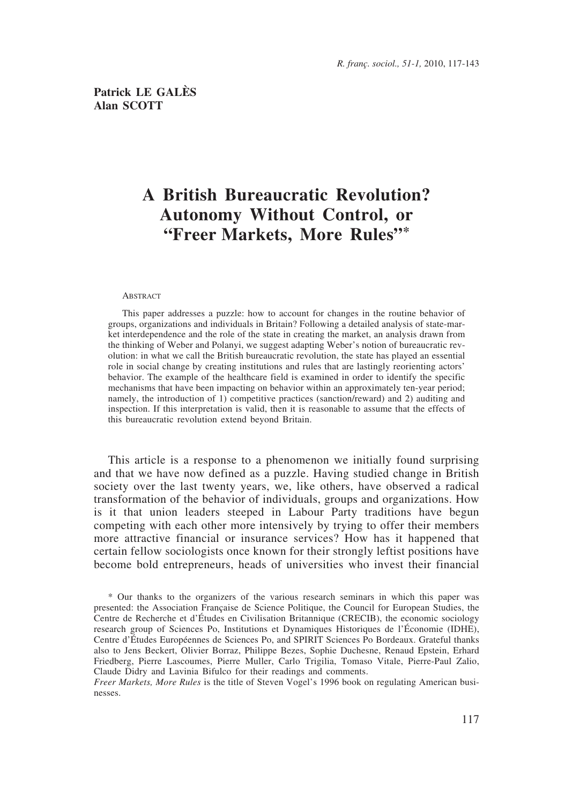# **A British Bureaucratic Revolution? Autonomy Without Control, or "Freer Markets, More Rules"\***

#### ABSTRACT

This paper addresses a puzzle: how to account for changes in the routine behavior of groups, organizations and individuals in Britain? Following a detailed analysis of state-market interdependence and the role of the state in creating the market, an analysis drawn from the thinking of Weber and Polanyi, we suggest adapting Weber's notion of bureaucratic revolution: in what we call the British bureaucratic revolution, the state has played an essential role in social change by creating institutions and rules that are lastingly reorienting actors' behavior. The example of the healthcare field is examined in order to identify the specific mechanisms that have been impacting on behavior within an approximately ten-year period; namely, the introduction of 1) competitive practices (sanction/reward) and 2) auditing and inspection. If this interpretation is valid, then it is reasonable to assume that the effects of this bureaucratic revolution extend beyond Britain.

This article is a response to a phenomenon we initially found surprising and that we have now defined as a puzzle. Having studied change in British society over the last twenty years, we, like others, have observed a radical transformation of the behavior of individuals, groups and organizations. How is it that union leaders steeped in Labour Party traditions have begun competing with each other more intensively by trying to offer their members more attractive financial or insurance services? How has it happened that certain fellow sociologists once known for their strongly leftist positions have become bold entrepreneurs, heads of universities who invest their financial

<sup>\*</sup> Our thanks to the organizers of the various research seminars in which this paper was presented: the Association Française de Science Politique, the Council for European Studies, the Centre de Recherche et d'Études en Civilisation Britannique (CRECIB), the economic sociology research group of Sciences Po, Institutions et Dynamiques Historiques de l'Économie (IDHE), Centre d'Études Européennes de Sciences Po, and SPIRIT Sciences Po Bordeaux. Grateful thanks also to Jens Beckert, Olivier Borraz, Philippe Bezes, Sophie Duchesne, Renaud Epstein, Erhard Friedberg, Pierre Lascoumes, Pierre Muller, Carlo Trigilia, Tomaso Vitale, Pierre-Paul Zalio, Claude Didry and Lavinia Bifulco for their readings and comments.

*Freer Markets, More Rules* is the title of Steven Vogel's 1996 book on regulating American businesses.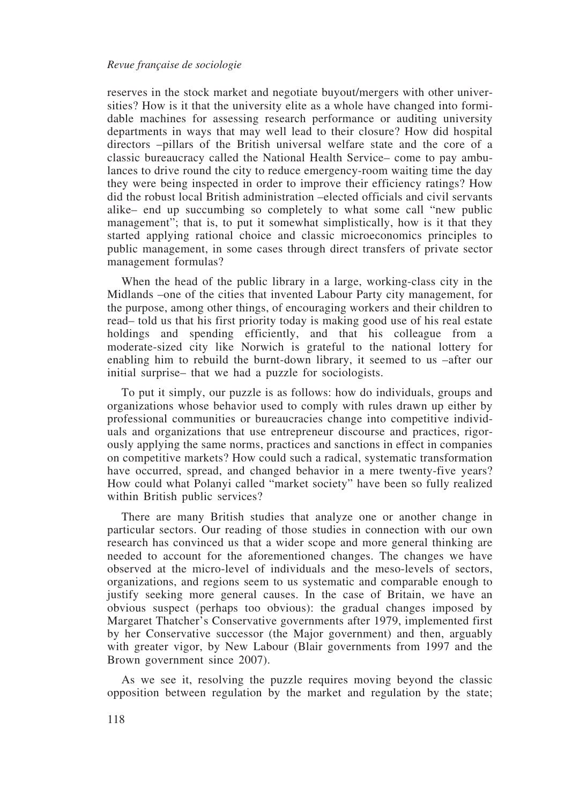reserves in the stock market and negotiate buyout/mergers with other universities? How is it that the university elite as a whole have changed into formidable machines for assessing research performance or auditing university departments in ways that may well lead to their closure? How did hospital directors –pillars of the British universal welfare state and the core of a classic bureaucracy called the National Health Service– come to pay ambulances to drive round the city to reduce emergency-room waiting time the day they were being inspected in order to improve their efficiency ratings? How did the robust local British administration –elected officials and civil servants alike– end up succumbing so completely to what some call "new public management"; that is, to put it somewhat simplistically, how is it that they started applying rational choice and classic microeconomics principles to public management, in some cases through direct transfers of private sector management formulas?

When the head of the public library in a large, working-class city in the Midlands –one of the cities that invented Labour Party city management, for the purpose, among other things, of encouraging workers and their children to read– told us that his first priority today is making good use of his real estate holdings and spending efficiently, and that his colleague from a moderate-sized city like Norwich is grateful to the national lottery for enabling him to rebuild the burnt-down library, it seemed to us –after our initial surprise– that we had a puzzle for sociologists.

To put it simply, our puzzle is as follows: how do individuals, groups and organizations whose behavior used to comply with rules drawn up either by professional communities or bureaucracies change into competitive individuals and organizations that use entrepreneur discourse and practices, rigorously applying the same norms, practices and sanctions in effect in companies on competitive markets? How could such a radical, systematic transformation have occurred, spread, and changed behavior in a mere twenty-five years? How could what Polanyi called "market society" have been so fully realized within British public services?

There are many British studies that analyze one or another change in particular sectors. Our reading of those studies in connection with our own research has convinced us that a wider scope and more general thinking are needed to account for the aforementioned changes. The changes we have observed at the micro-level of individuals and the meso-levels of sectors, organizations, and regions seem to us systematic and comparable enough to justify seeking more general causes. In the case of Britain, we have an obvious suspect (perhaps too obvious): the gradual changes imposed by Margaret Thatcher's Conservative governments after 1979, implemented first by her Conservative successor (the Major government) and then, arguably with greater vigor, by New Labour (Blair governments from 1997 and the Brown government since 2007).

As we see it, resolving the puzzle requires moving beyond the classic opposition between regulation by the market and regulation by the state;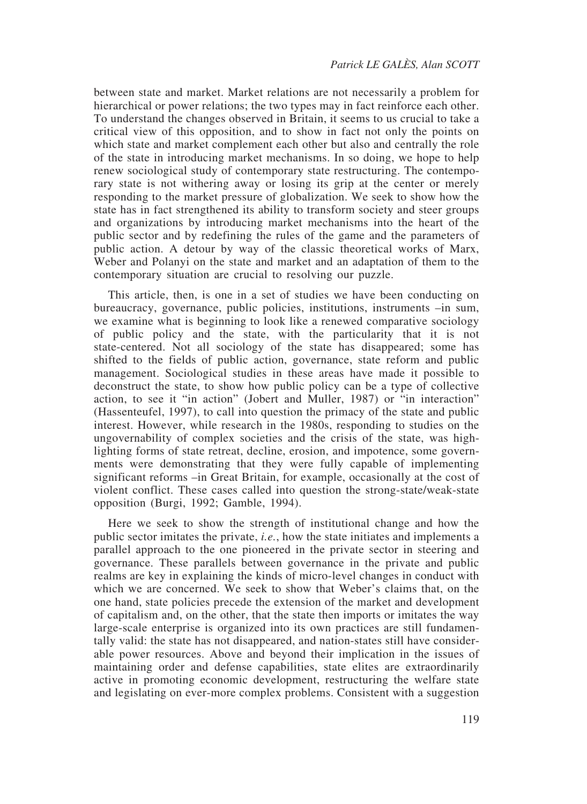between state and market. Market relations are not necessarily a problem for hierarchical or power relations; the two types may in fact reinforce each other. To understand the changes observed in Britain, it seems to us crucial to take a critical view of this opposition, and to show in fact not only the points on which state and market complement each other but also and centrally the role of the state in introducing market mechanisms. In so doing, we hope to help renew sociological study of contemporary state restructuring. The contemporary state is not withering away or losing its grip at the center or merely responding to the market pressure of globalization. We seek to show how the state has in fact strengthened its ability to transform society and steer groups and organizations by introducing market mechanisms into the heart of the public sector and by redefining the rules of the game and the parameters of public action. A detour by way of the classic theoretical works of Marx, Weber and Polanyi on the state and market and an adaptation of them to the contemporary situation are crucial to resolving our puzzle.

This article, then, is one in a set of studies we have been conducting on bureaucracy, governance, public policies, institutions, instruments –in sum, we examine what is beginning to look like a renewed comparative sociology of public policy and the state, with the particularity that it is not state-centered. Not all sociology of the state has disappeared; some has shifted to the fields of public action, governance, state reform and public management. Sociological studies in these areas have made it possible to deconstruct the state, to show how public policy can be a type of collective action, to see it "in action" (Jobert and Muller, 1987) or "in interaction" (Hassenteufel, 1997), to call into question the primacy of the state and public interest. However, while research in the 1980s, responding to studies on the ungovernability of complex societies and the crisis of the state, was highlighting forms of state retreat, decline, erosion, and impotence, some governments were demonstrating that they were fully capable of implementing significant reforms –in Great Britain, for example, occasionally at the cost of violent conflict. These cases called into question the strong-state/weak-state opposition (Burgi, 1992; Gamble, 1994).

Here we seek to show the strength of institutional change and how the public sector imitates the private, *i.e.*, how the state initiates and implements a parallel approach to the one pioneered in the private sector in steering and governance. These parallels between governance in the private and public realms are key in explaining the kinds of micro-level changes in conduct with which we are concerned. We seek to show that Weber's claims that, on the one hand, state policies precede the extension of the market and development of capitalism and, on the other, that the state then imports or imitates the way large-scale enterprise is organized into its own practices are still fundamentally valid: the state has not disappeared, and nation-states still have considerable power resources. Above and beyond their implication in the issues of maintaining order and defense capabilities, state elites are extraordinarily active in promoting economic development, restructuring the welfare state and legislating on ever-more complex problems. Consistent with a suggestion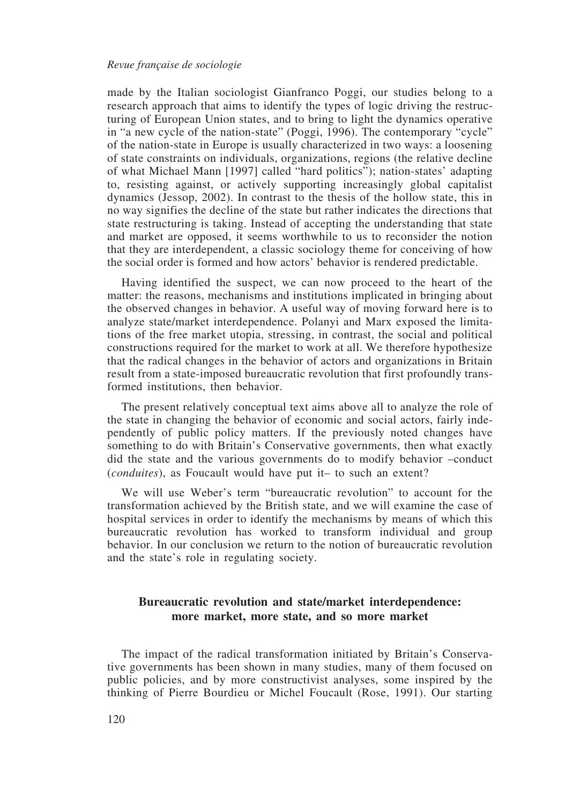made by the Italian sociologist Gianfranco Poggi, our studies belong to a research approach that aims to identify the types of logic driving the restructuring of European Union states, and to bring to light the dynamics operative in "a new cycle of the nation-state" (Poggi, 1996). The contemporary "cycle" of the nation-state in Europe is usually characterized in two ways: a loosening of state constraints on individuals, organizations, regions (the relative decline of what Michael Mann [1997] called "hard politics"); nation-states' adapting to, resisting against, or actively supporting increasingly global capitalist dynamics (Jessop, 2002). In contrast to the thesis of the hollow state, this in no way signifies the decline of the state but rather indicates the directions that state restructuring is taking. Instead of accepting the understanding that state and market are opposed, it seems worthwhile to us to reconsider the notion that they are interdependent, a classic sociology theme for conceiving of how the social order is formed and how actors' behavior is rendered predictable.

Having identified the suspect, we can now proceed to the heart of the matter: the reasons, mechanisms and institutions implicated in bringing about the observed changes in behavior. A useful way of moving forward here is to analyze state/market interdependence. Polanyi and Marx exposed the limitations of the free market utopia, stressing, in contrast, the social and political constructions required for the market to work at all. We therefore hypothesize that the radical changes in the behavior of actors and organizations in Britain result from a state-imposed bureaucratic revolution that first profoundly transformed institutions, then behavior.

The present relatively conceptual text aims above all to analyze the role of the state in changing the behavior of economic and social actors, fairly independently of public policy matters. If the previously noted changes have something to do with Britain's Conservative governments, then what exactly did the state and the various governments do to modify behavior –conduct (*conduites*), as Foucault would have put it– to such an extent?

We will use Weber's term "bureaucratic revolution" to account for the transformation achieved by the British state, and we will examine the case of hospital services in order to identify the mechanisms by means of which this bureaucratic revolution has worked to transform individual and group behavior. In our conclusion we return to the notion of bureaucratic revolution and the state's role in regulating society.

# **Bureaucratic revolution and state/market interdependence: more market, more state, and so more market**

The impact of the radical transformation initiated by Britain's Conservative governments has been shown in many studies, many of them focused on public policies, and by more constructivist analyses, some inspired by the thinking of Pierre Bourdieu or Michel Foucault (Rose, 1991). Our starting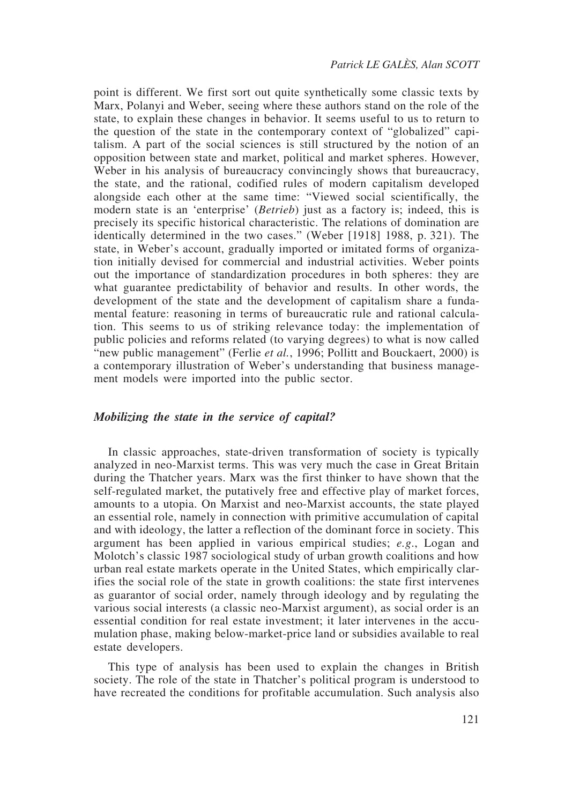point is different. We first sort out quite synthetically some classic texts by Marx, Polanyi and Weber, seeing where these authors stand on the role of the state, to explain these changes in behavior. It seems useful to us to return to the question of the state in the contemporary context of "globalized" capitalism. A part of the social sciences is still structured by the notion of an opposition between state and market, political and market spheres. However, Weber in his analysis of bureaucracy convincingly shows that bureaucracy, the state, and the rational, codified rules of modern capitalism developed alongside each other at the same time: "Viewed social scientifically, the modern state is an 'enterprise' (*Betrieb*) just as a factory is; indeed, this is precisely its specific historical characteristic. The relations of domination are identically determined in the two cases." (Weber [1918] 1988, p. 321). The state, in Weber's account, gradually imported or imitated forms of organization initially devised for commercial and industrial activities. Weber points out the importance of standardization procedures in both spheres: they are what guarantee predictability of behavior and results. In other words, the development of the state and the development of capitalism share a fundamental feature: reasoning in terms of bureaucratic rule and rational calculation. This seems to us of striking relevance today: the implementation of public policies and reforms related (to varying degrees) to what is now called "new public management" (Ferlie et al., 1996; Pollitt and Bouckaert, 2000) is a contemporary illustration of Weber's understanding that business management models were imported into the public sector.

### *Mobilizing the state in the service of capital?*

In classic approaches, state-driven transformation of society is typically analyzed in neo-Marxist terms. This was very much the case in Great Britain during the Thatcher years. Marx was the first thinker to have shown that the self-regulated market, the putatively free and effective play of market forces, amounts to a utopia. On Marxist and neo-Marxist accounts, the state played an essential role, namely in connection with primitive accumulation of capital and with ideology, the latter a reflection of the dominant force in society. This argument has been applied in various empirical studies; *e.g*., Logan and Molotch's classic 1987 sociological study of urban growth coalitions and how urban real estate markets operate in the United States, which empirically clarifies the social role of the state in growth coalitions: the state first intervenes as guarantor of social order, namely through ideology and by regulating the various social interests (a classic neo-Marxist argument), as social order is an essential condition for real estate investment; it later intervenes in the accumulation phase, making below-market-price land or subsidies available to real estate developers.

This type of analysis has been used to explain the changes in British society. The role of the state in Thatcher's political program is understood to have recreated the conditions for profitable accumulation. Such analysis also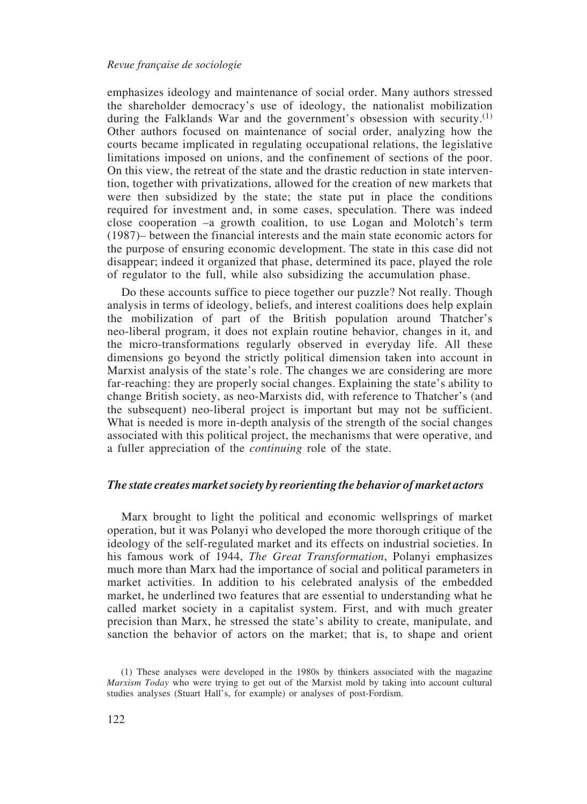emphasizes ideology and maintenance of social order. Many authors stressed the shareholder democracy's use of ideology, the nationalist mobilization during the Falklands War and the government's obsession with security.<sup>(1)</sup> Other authors focused on maintenance of social order, analyzing how the courts became implicated in regulating occupational relations, the legislative limitations imposed on unions, and the confinement of sections of the poor. On this view, the retreat of the state and the drastic reduction in state intervention, together with privatizations, allowed for the creation of new markets that were then subsidized by the state; the state put in place the conditions required for investment and, in some cases, speculation. There was indeed close cooperation –a growth coalition, to use Logan and Molotch's term (1987)– between the financial interests and the main state economic actors for the purpose of ensuring economic development. The state in this case did not disappear; indeed it organized that phase, determined its pace, played the role of regulator to the full, while also subsidizing the accumulation phase.

Do these accounts suffice to piece together our puzzle? Not really. Though analysis in terms of ideology, beliefs, and interest coalitions does help explain the mobilization of part of the British population around Thatcher's neo-liberal program, it does not explain routine behavior, changes in it, and the micro-transformations regularly observed in everyday life. All these dimensions go beyond the strictly political dimension taken into account in Marxist analysis of the state's role. The changes we are considering are more far-reaching: they are properly social changes. Explaining the state's ability to change British society, as neo-Marxists did, with reference to Thatcher's (and the subsequent) neo-liberal project is important but may not be sufficient. What is needed is more in-depth analysis of the strength of the social changes associated with this political project, the mechanisms that were operative, and a fuller appreciation of the *continuing* role of the state.

### *The state creates market society by reorienting the behavior of market actors*

Marx brought to light the political and economic wellsprings of market operation, but it was Polanyi who developed the more thorough critique of the ideology of the self-regulated market and its effects on industrial societies. In his famous work of 1944, *The Great Transformation*, Polanyi emphasizes much more than Marx had the importance of social and political parameters in market activities. In addition to his celebrated analysis of the embedded market, he underlined two features that are essential to understanding what he called market society in a capitalist system. First, and with much greater precision than Marx, he stressed the state's ability to create, manipulate, and sanction the behavior of actors on the market; that is, to shape and orient

<sup>(1)</sup> These analyses were developed in the 1980s by thinkers associated with the magazine *Marxism Today* who were trying to get out of the Marxist mold by taking into account cultural studies analyses (Stuart Hall's, for example) or analyses of post-Fordism.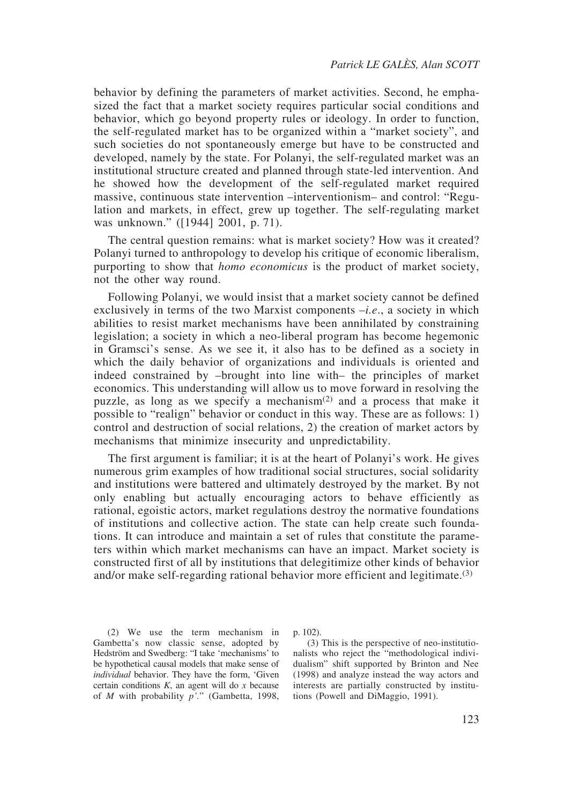behavior by defining the parameters of market activities. Second, he emphasized the fact that a market society requires particular social conditions and behavior, which go beyond property rules or ideology. In order to function, the self-regulated market has to be organized within a "market society", and such societies do not spontaneously emerge but have to be constructed and developed, namely by the state. For Polanyi, the self-regulated market was an institutional structure created and planned through state-led intervention. And he showed how the development of the self-regulated market required massive, continuous state intervention –interventionism– and control: "Regulation and markets, in effect, grew up together. The self-regulating market was unknown." ([1944] 2001, p. 71).

The central question remains: what is market society? How was it created? Polanyi turned to anthropology to develop his critique of economic liberalism, purporting to show that *homo economicus* is the product of market society, not the other way round.

Following Polanyi, we would insist that a market society cannot be defined exclusively in terms of the two Marxist components –*i.e*., a society in which abilities to resist market mechanisms have been annihilated by constraining legislation; a society in which a neo-liberal program has become hegemonic in Gramsci's sense. As we see it, it also has to be defined as a society in which the daily behavior of organizations and individuals is oriented and indeed constrained by –brought into line with– the principles of market economics. This understanding will allow us to move forward in resolving the puzzle, as long as we specify a mechanism<sup> $(2)$ </sup> and a process that make it possible to "realign" behavior or conduct in this way. These are as follows: 1) control and destruction of social relations, 2) the creation of market actors by mechanisms that minimize insecurity and unpredictability.

The first argument is familiar; it is at the heart of Polanyi's work. He gives numerous grim examples of how traditional social structures, social solidarity and institutions were battered and ultimately destroyed by the market. By not only enabling but actually encouraging actors to behave efficiently as rational, egoistic actors, market regulations destroy the normative foundations of institutions and collective action. The state can help create such foundations. It can introduce and maintain a set of rules that constitute the parameters within which market mechanisms can have an impact. Market society is constructed first of all by institutions that delegitimize other kinds of behavior and/or make self-regarding rational behavior more efficient and legitimate.<sup>(3)</sup>

(2) We use the term mechanism in Gambetta's now classic sense, adopted by Hedström and Swedberg: "I take 'mechanisms' to be hypothetical causal models that make sense of *individual* behavior. They have the form, 'Given certain conditions *K*, an agent will do *x* because of *M* with probability *p'.*" (Gambetta, 1998, p. 102).

(3) This is the perspective of neo-institutionalists who reject the "methodological individualism" shift supported by Brinton and Nee (1998) and analyze instead the way actors and interests are partially constructed by institutions (Powell and DiMaggio, 1991).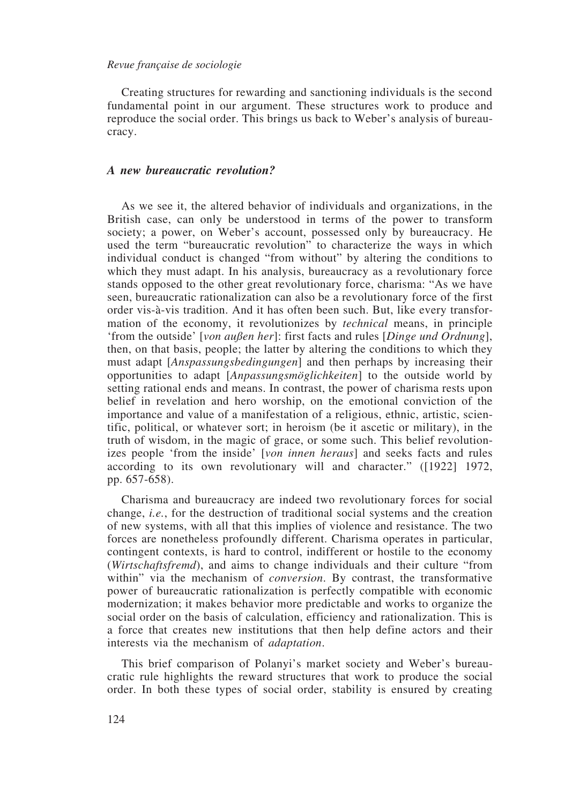Creating structures for rewarding and sanctioning individuals is the second fundamental point in our argument. These structures work to produce and reproduce the social order. This brings us back to Weber's analysis of bureaucracy.

## *A new bureaucratic revolution?*

As we see it, the altered behavior of individuals and organizations, in the British case, can only be understood in terms of the power to transform society; a power, on Weber's account, possessed only by bureaucracy. He used the term "bureaucratic revolution" to characterize the ways in which individual conduct is changed "from without" by altering the conditions to which they must adapt. In his analysis, bureaucracy as a revolutionary force stands opposed to the other great revolutionary force, charisma: "As we have seen, bureaucratic rationalization can also be a revolutionary force of the first order vis-à-vis tradition. And it has often been such. But, like every transformation of the economy, it revolutionizes by *technical* means, in principle 'from the outside' [*von außen her*]: first facts and rules [*Dinge und Ordnung*], then, on that basis, people; the latter by altering the conditions to which they must adapt [*Anspassungsbedingungen*] and then perhaps by increasing their opportunities to adapt [*Anpassungsmöglichkeiten*] to the outside world by setting rational ends and means. In contrast, the power of charisma rests upon belief in revelation and hero worship, on the emotional conviction of the importance and value of a manifestation of a religious, ethnic, artistic, scientific, political, or whatever sort; in heroism (be it ascetic or military), in the truth of wisdom, in the magic of grace, or some such. This belief revolutionizes people 'from the inside' [*von innen heraus*] and seeks facts and rules according to its own revolutionary will and character." ([1922] 1972, pp. 657-658).

Charisma and bureaucracy are indeed two revolutionary forces for social change, *i.e.*, for the destruction of traditional social systems and the creation of new systems, with all that this implies of violence and resistance. The two forces are nonetheless profoundly different. Charisma operates in particular, contingent contexts, is hard to control, indifferent or hostile to the economy (*Wirtschaftsfremd*), and aims to change individuals and their culture "from within" via the mechanism of *conversion*. By contrast, the transformative power of bureaucratic rationalization is perfectly compatible with economic modernization; it makes behavior more predictable and works to organize the social order on the basis of calculation, efficiency and rationalization. This is a force that creates new institutions that then help define actors and their interests via the mechanism of *adaptation*.

This brief comparison of Polanyi's market society and Weber's bureaucratic rule highlights the reward structures that work to produce the social order. In both these types of social order, stability is ensured by creating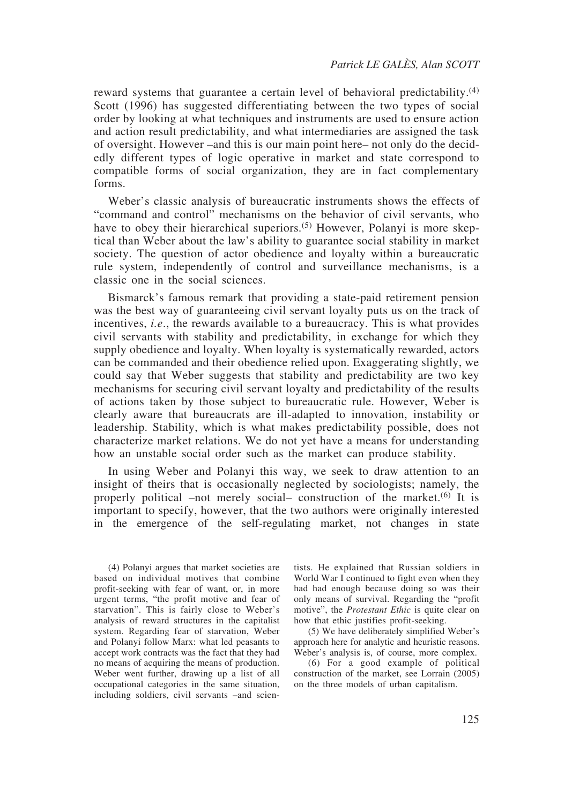reward systems that guarantee a certain level of behavioral predictability.<sup>(4)</sup> Scott (1996) has suggested differentiating between the two types of social order by looking at what techniques and instruments are used to ensure action and action result predictability, and what intermediaries are assigned the task of oversight. However *–*and this is our main point here*–* not only do the decidedly different types of logic operative in market and state correspond to compatible forms of social organization, they are in fact complementary forms.

Weber's classic analysis of bureaucratic instruments shows the effects of "command and control" mechanisms on the behavior of civil servants, who have to obey their hierarchical superiors.<sup>(5)</sup> However, Polanyi is more skeptical than Weber about the law's ability to guarantee social stability in market society. The question of actor obedience and loyalty within a bureaucratic rule system, independently of control and surveillance mechanisms, is a classic one in the social sciences.

Bismarck's famous remark that providing a state-paid retirement pension was the best way of guaranteeing civil servant loyalty puts us on the track of incentives, *i.e*., the rewards available to a bureaucracy. This is what provides civil servants with stability and predictability, in exchange for which they supply obedience and loyalty. When loyalty is systematically rewarded, actors can be commanded and their obedience relied upon. Exaggerating slightly, we could say that Weber suggests that stability and predictability are two key mechanisms for securing civil servant loyalty and predictability of the results of actions taken by those subject to bureaucratic rule. However, Weber is clearly aware that bureaucrats are ill-adapted to innovation, instability or leadership. Stability, which is what makes predictability possible, does not characterize market relations. We do not yet have a means for understanding how an unstable social order such as the market can produce stability.

In using Weber and Polanyi this way, we seek to draw attention to an insight of theirs that is occasionally neglected by sociologists; namely, the properly political *–*not merely social*–* construction of the market.(6) It is important to specify, however, that the two authors were originally interested in the emergence of the self-regulating market, not changes in state

(4) Polanyi argues that market societies are based on individual motives that combine profit-seeking with fear of want, or, in more urgent terms, "the profit motive and fear of starvation". This is fairly close to Weber's analysis of reward structures in the capitalist system. Regarding fear of starvation, Weber and Polanyi follow Marx: what led peasants to accept work contracts was the fact that they had no means of acquiring the means of production. Weber went further, drawing up a list of all occupational categories in the same situation, including soldiers, civil servants –and scientists. He explained that Russian soldiers in World War I continued to fight even when they had had enough because doing so was their only means of survival. Regarding the "profit motive", the *Protestant Ethic* is quite clear on how that ethic justifies profit-seeking.

(5) We have deliberately simplified Weber's approach here for analytic and heuristic reasons. Weber's analysis is, of course, more complex.

(6) For a good example of political construction of the market, see Lorrain (2005) on the three models of urban capitalism.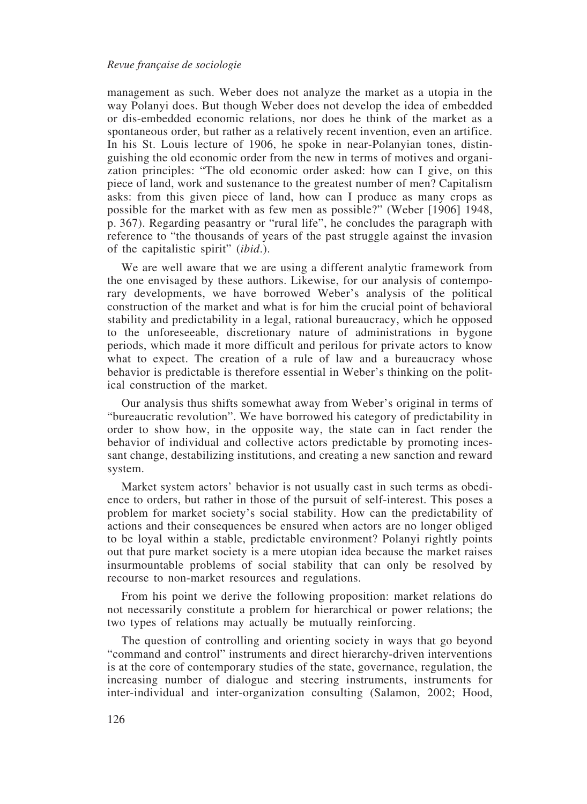management as such. Weber does not analyze the market as a utopia in the way Polanyi does. But though Weber does not develop the idea of embedded or dis-embedded economic relations, nor does he think of the market as a spontaneous order, but rather as a relatively recent invention, even an artifice. In his St. Louis lecture of 1906, he spoke in near-Polanyian tones, distinguishing the old economic order from the new in terms of motives and organization principles: "The old economic order asked: how can I give, on this piece of land, work and sustenance to the greatest number of men? Capitalism asks: from this given piece of land, how can I produce as many crops as possible for the market with as few men as possible?" (Weber [1906] 1948, p. 367). Regarding peasantry or "rural life", he concludes the paragraph with reference to "the thousands of years of the past struggle against the invasion of the capitalistic spirit" (*ibid*.).

We are well aware that we are using a different analytic framework from the one envisaged by these authors. Likewise, for our analysis of contemporary developments, we have borrowed Weber's analysis of the political construction of the market and what is for him the crucial point of behavioral stability and predictability in a legal, rational bureaucracy, which he opposed to the unforeseeable, discretionary nature of administrations in bygone periods, which made it more difficult and perilous for private actors to know what to expect. The creation of a rule of law and a bureaucracy whose behavior is predictable is therefore essential in Weber's thinking on the political construction of the market.

Our analysis thus shifts somewhat away from Weber's original in terms of "bureaucratic revolution". We have borrowed his category of predictability in order to show how, in the opposite way, the state can in fact render the behavior of individual and collective actors predictable by promoting incessant change, destabilizing institutions, and creating a new sanction and reward system.

Market system actors' behavior is not usually cast in such terms as obedience to orders, but rather in those of the pursuit of self-interest. This poses a problem for market society's social stability. How can the predictability of actions and their consequences be ensured when actors are no longer obliged to be loyal within a stable, predictable environment? Polanyi rightly points out that pure market society is a mere utopian idea because the market raises insurmountable problems of social stability that can only be resolved by recourse to non-market resources and regulations.

From his point we derive the following proposition: market relations do not necessarily constitute a problem for hierarchical or power relations; the two types of relations may actually be mutually reinforcing.

The question of controlling and orienting society in ways that go beyond "command and control" instruments and direct hierarchy-driven interventions is at the core of contemporary studies of the state, governance, regulation, the increasing number of dialogue and steering instruments, instruments for inter-individual and inter-organization consulting (Salamon, 2002; Hood,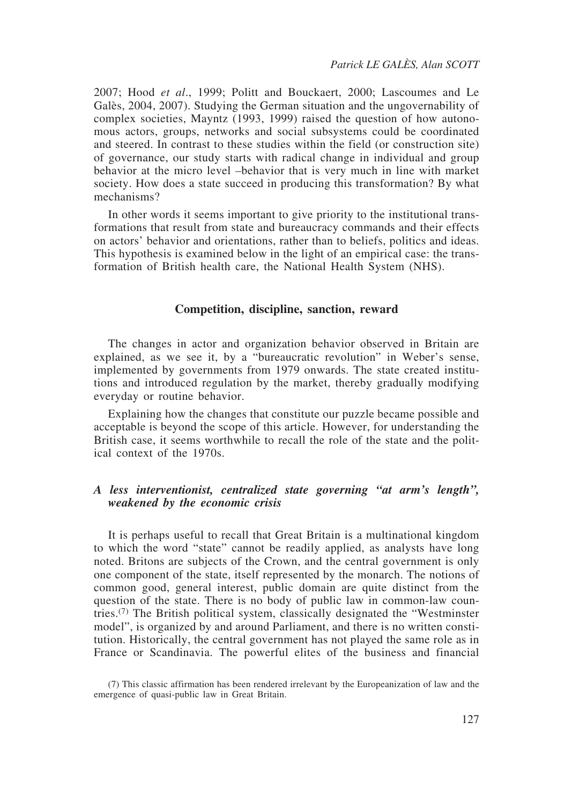2007; Hood *et al*., 1999; Politt and Bouckaert, 2000; Lascoumes and Le Galès, 2004, 2007). Studying the German situation and the ungovernability of complex societies, Mayntz (1993, 1999) raised the question of how autonomous actors, groups, networks and social subsystems could be coordinated and steered. In contrast to these studies within the field (or construction site) of governance, our study starts with radical change in individual and group behavior at the micro level *–*behavior that is very much in line with market society. How does a state succeed in producing this transformation? By what mechanisms?

In other words it seems important to give priority to the institutional transformations that result from state and bureaucracy commands and their effects on actors' behavior and orientations, rather than to beliefs, politics and ideas. This hypothesis is examined below in the light of an empirical case: the transformation of British health care, the National Health System (NHS).

### **Competition, discipline, sanction, reward**

The changes in actor and organization behavior observed in Britain are explained, as we see it, by a "bureaucratic revolution" in Weber's sense, implemented by governments from 1979 onwards. The state created institutions and introduced regulation by the market, thereby gradually modifying everyday or routine behavior.

Explaining how the changes that constitute our puzzle became possible and acceptable is beyond the scope of this article. However, for understanding the British case, it seems worthwhile to recall the role of the state and the political context of the 1970s.

# *A less interventionist, centralized state governing "at arm's length", weakened by the economic crisis*

It is perhaps useful to recall that Great Britain is a multinational kingdom to which the word "state" cannot be readily applied, as analysts have long noted. Britons are subjects of the Crown, and the central government is only one component of the state, itself represented by the monarch. The notions of common good, general interest, public domain are quite distinct from the question of the state. There is no body of public law in common-law countries.(7) The British political system, classically designated the "Westminster model", is organized by and around Parliament, and there is no written constitution. Historically, the central government has not played the same role as in France or Scandinavia. The powerful elites of the business and financial

<sup>(7)</sup> This classic affirmation has been rendered irrelevant by the Europeanization of law and the emergence of quasi-public law in Great Britain.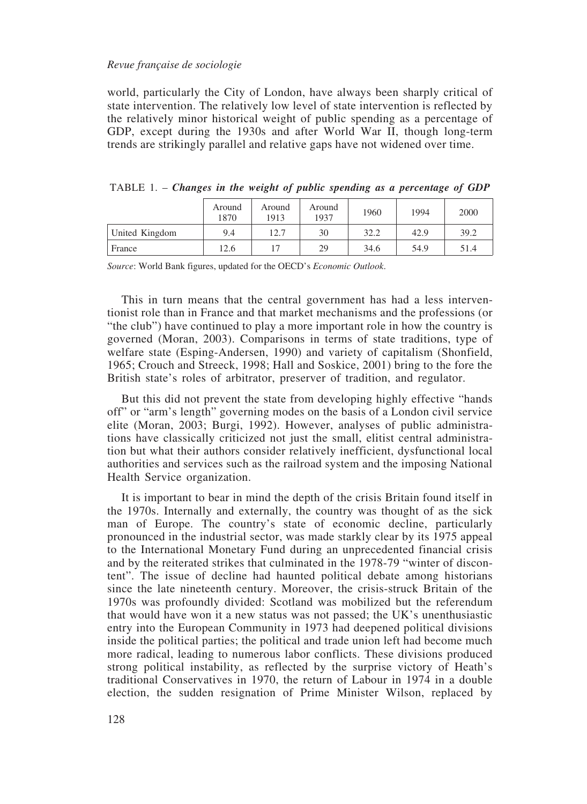world, particularly the City of London, have always been sharply critical of state intervention. The relatively low level of state intervention is reflected by the relatively minor historical weight of public spending as a percentage of GDP, except during the 1930s and after World War II, though long-term trends are strikingly parallel and relative gaps have not widened over time.

|                | Around<br>1870 | Around<br>1913 | Around<br>1937 | 1960 | 1994 | 2000 |
|----------------|----------------|----------------|----------------|------|------|------|
| United Kingdom | 9.4            | 12.7           | 30             | 32.2 | 42.9 | 39.2 |
| France         | 12.6           |                | 29             | 34.6 | 54.9 | 51.4 |

TABLE 1. – *Changes in the weight of public spending as a percentage of GDP*

*Source*: World Bank figures, updated for the OECD's *Economic Outlook*.

This in turn means that the central government has had a less interventionist role than in France and that market mechanisms and the professions (or "the club") have continued to play a more important role in how the country is governed (Moran, 2003). Comparisons in terms of state traditions, type of welfare state (Esping-Andersen, 1990) and variety of capitalism (Shonfield, 1965; Crouch and Streeck, 1998; Hall and Soskice, 2001) bring to the fore the British state's roles of arbitrator, preserver of tradition, and regulator.

But this did not prevent the state from developing highly effective "hands off" or "arm's length" governing modes on the basis of a London civil service elite (Moran, 2003; Burgi, 1992). However, analyses of public administrations have classically criticized not just the small, elitist central administration but what their authors consider relatively inefficient, dysfunctional local authorities and services such as the railroad system and the imposing National Health Service organization.

It is important to bear in mind the depth of the crisis Britain found itself in the 1970s. Internally and externally, the country was thought of as the sick man of Europe. The country's state of economic decline, particularly pronounced in the industrial sector, was made starkly clear by its 1975 appeal to the International Monetary Fund during an unprecedented financial crisis and by the reiterated strikes that culminated in the 1978-79 "winter of discontent". The issue of decline had haunted political debate among historians since the late nineteenth century. Moreover, the crisis-struck Britain of the 1970s was profoundly divided: Scotland was mobilized but the referendum that would have won it a new status was not passed; the UK's unenthusiastic entry into the European Community in 1973 had deepened political divisions inside the political parties; the political and trade union left had become much more radical, leading to numerous labor conflicts. These divisions produced strong political instability, as reflected by the surprise victory of Heath's traditional Conservatives in 1970, the return of Labour in 1974 in a double election, the sudden resignation of Prime Minister Wilson, replaced by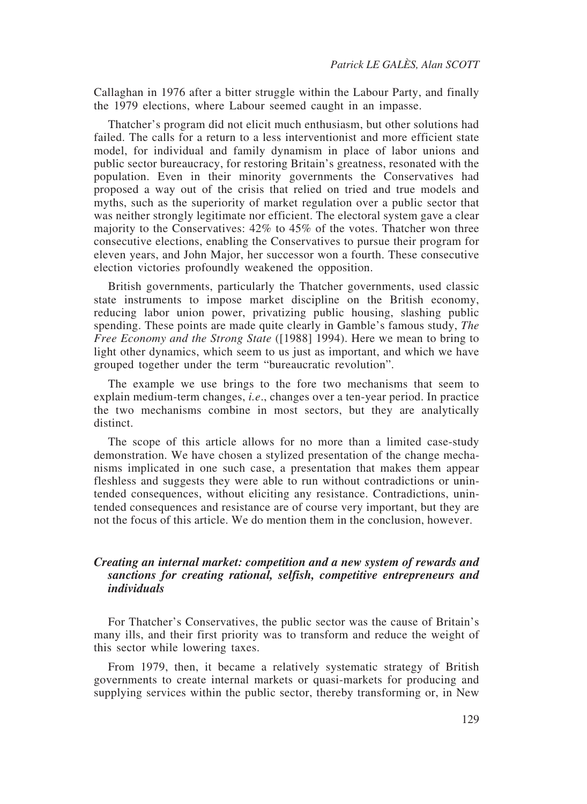Callaghan in 1976 after a bitter struggle within the Labour Party, and finally the 1979 elections, where Labour seemed caught in an impasse.

Thatcher's program did not elicit much enthusiasm, but other solutions had failed. The calls for a return to a less interventionist and more efficient state model, for individual and family dynamism in place of labor unions and public sector bureaucracy, for restoring Britain's greatness, resonated with the population. Even in their minority governments the Conservatives had proposed a way out of the crisis that relied on tried and true models and myths, such as the superiority of market regulation over a public sector that was neither strongly legitimate nor efficient. The electoral system gave a clear majority to the Conservatives: 42% to 45% of the votes. Thatcher won three consecutive elections, enabling the Conservatives to pursue their program for eleven years, and John Major, her successor won a fourth. These consecutive election victories profoundly weakened the opposition.

British governments, particularly the Thatcher governments, used classic state instruments to impose market discipline on the British economy, reducing labor union power, privatizing public housing, slashing public spending. These points are made quite clearly in Gamble's famous study, *The Free Economy and the Strong State* ([1988] 1994). Here we mean to bring to light other dynamics, which seem to us just as important, and which we have grouped together under the term "bureaucratic revolution".

The example we use brings to the fore two mechanisms that seem to explain medium-term changes, *i.e*., changes over a ten-year period. In practice the two mechanisms combine in most sectors, but they are analytically distinct.

The scope of this article allows for no more than a limited case-study demonstration. We have chosen a stylized presentation of the change mechanisms implicated in one such case, a presentation that makes them appear fleshless and suggests they were able to run without contradictions or unintended consequences, without eliciting any resistance. Contradictions, unintended consequences and resistance are of course very important, but they are not the focus of this article. We do mention them in the conclusion, however.

# *Creating an internal market: competition and a new system of rewards and sanctions for creating rational, selfish, competitive entrepreneurs and individuals*

For Thatcher's Conservatives, the public sector was the cause of Britain's many ills, and their first priority was to transform and reduce the weight of this sector while lowering taxes.

From 1979, then, it became a relatively systematic strategy of British governments to create internal markets or quasi-markets for producing and supplying services within the public sector, thereby transforming or, in New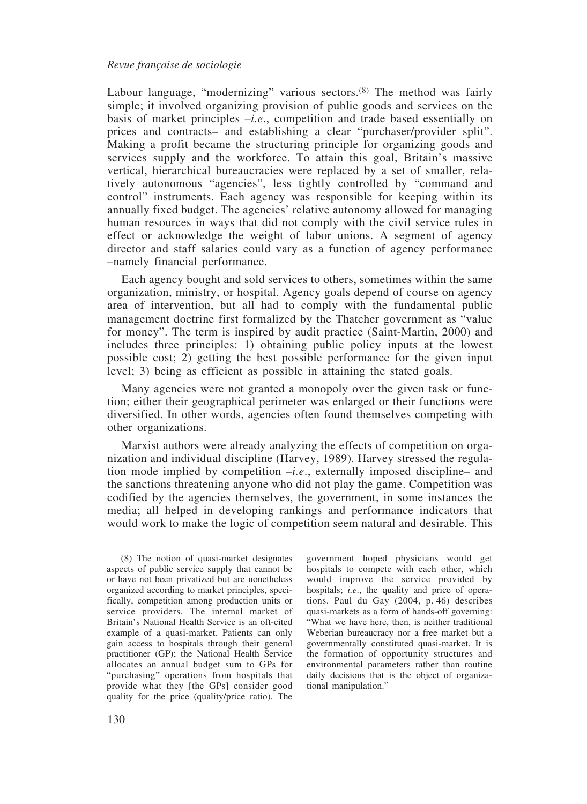Labour language, "modernizing" various sectors.<sup>(8)</sup> The method was fairly simple; it involved organizing provision of public goods and services on the basis of market principles *–i.e*., competition and trade based essentially on prices and contracts*–* and establishing a clear "purchaser/provider split". Making a profit became the structuring principle for organizing goods and services supply and the workforce. To attain this goal, Britain's massive vertical, hierarchical bureaucracies were replaced by a set of smaller, relatively autonomous "agencies", less tightly controlled by "command and control" instruments. Each agency was responsible for keeping within its annually fixed budget. The agencies' relative autonomy allowed for managing human resources in ways that did not comply with the civil service rules in effect or acknowledge the weight of labor unions. A segment of agency director and staff salaries could vary as a function of agency performance *–*namely financial performance.

Each agency bought and sold services to others, sometimes within the same organization, ministry, or hospital. Agency goals depend of course on agency area of intervention, but all had to comply with the fundamental public management doctrine first formalized by the Thatcher government as "value for money". The term is inspired by audit practice (Saint-Martin, 2000) and includes three principles: 1) obtaining public policy inputs at the lowest possible cost; 2) getting the best possible performance for the given input level; 3) being as efficient as possible in attaining the stated goals.

Many agencies were not granted a monopoly over the given task or function; either their geographical perimeter was enlarged or their functions were diversified. In other words, agencies often found themselves competing with other organizations.

Marxist authors were already analyzing the effects of competition on organization and individual discipline (Harvey, 1989). Harvey stressed the regulation mode implied by competition *–i.e*., externally imposed discipline*–* and the sanctions threatening anyone who did not play the game. Competition was codified by the agencies themselves, the government, in some instances the media; all helped in developing rankings and performance indicators that would work to make the logic of competition seem natural and desirable. This

(8) The notion of quasi-market designates aspects of public service supply that cannot be or have not been privatized but are nonetheless organized according to market principles, specifically, competition among production units or service providers. The internal market of Britain's National Health Service is an oft-cited example of a quasi-market. Patients can only gain access to hospitals through their general practitioner (GP); the National Health Service allocates an annual budget sum to GPs for "purchasing" operations from hospitals that provide what they [the GPs] consider good quality for the price (quality/price ratio). The

government hoped physicians would get hospitals to compete with each other, which would improve the service provided by hospitals; *i.e*., the quality and price of operations. Paul du Gay (2004, p. 46) describes quasi-markets as a form of hands-off governing: "What we have here, then, is neither traditional Weberian bureaucracy nor a free market but a governmentally constituted quasi-market. It is the formation of opportunity structures and environmental parameters rather than routine daily decisions that is the object of organizational manipulation."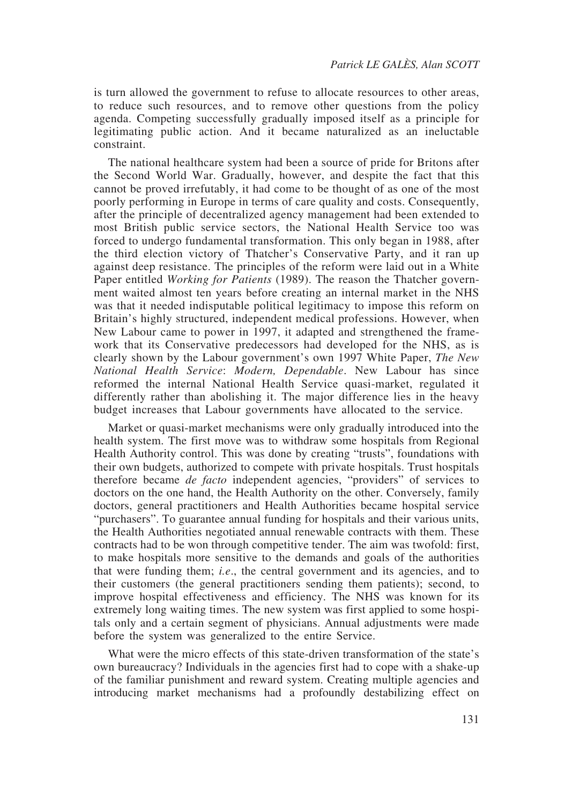is turn allowed the government to refuse to allocate resources to other areas, to reduce such resources, and to remove other questions from the policy agenda. Competing successfully gradually imposed itself as a principle for legitimating public action. And it became naturalized as an ineluctable constraint.

The national healthcare system had been a source of pride for Britons after the Second World War. Gradually, however, and despite the fact that this cannot be proved irrefutably, it had come to be thought of as one of the most poorly performing in Europe in terms of care quality and costs. Consequently, after the principle of decentralized agency management had been extended to most British public service sectors, the National Health Service too was forced to undergo fundamental transformation. This only began in 1988, after the third election victory of Thatcher's Conservative Party, and it ran up against deep resistance. The principles of the reform were laid out in a White Paper entitled *Working for Patients* (1989). The reason the Thatcher government waited almost ten years before creating an internal market in the NHS was that it needed indisputable political legitimacy to impose this reform on Britain's highly structured, independent medical professions. However, when New Labour came to power in 1997, it adapted and strengthened the framework that its Conservative predecessors had developed for the NHS, as is clearly shown by the Labour government's own 1997 White Paper, *The New National Health Service*: *Modern, Dependable*. New Labour has since reformed the internal National Health Service quasi-market, regulated it differently rather than abolishing it. The major difference lies in the heavy budget increases that Labour governments have allocated to the service.

Market or quasi-market mechanisms were only gradually introduced into the health system. The first move was to withdraw some hospitals from Regional Health Authority control. This was done by creating "trusts", foundations with their own budgets, authorized to compete with private hospitals. Trust hospitals therefore became *de facto* independent agencies, "providers" of services to doctors on the one hand, the Health Authority on the other. Conversely, family doctors, general practitioners and Health Authorities became hospital service "purchasers". To guarantee annual funding for hospitals and their various units, the Health Authorities negotiated annual renewable contracts with them. These contracts had to be won through competitive tender. The aim was twofold: first, to make hospitals more sensitive to the demands and goals of the authorities that were funding them; *i.e*., the central government and its agencies, and to their customers (the general practitioners sending them patients); second, to improve hospital effectiveness and efficiency. The NHS was known for its extremely long waiting times. The new system was first applied to some hospitals only and a certain segment of physicians. Annual adjustments were made before the system was generalized to the entire Service.

What were the micro effects of this state-driven transformation of the state's own bureaucracy? Individuals in the agencies first had to cope with a shake-up of the familiar punishment and reward system. Creating multiple agencies and introducing market mechanisms had a profoundly destabilizing effect on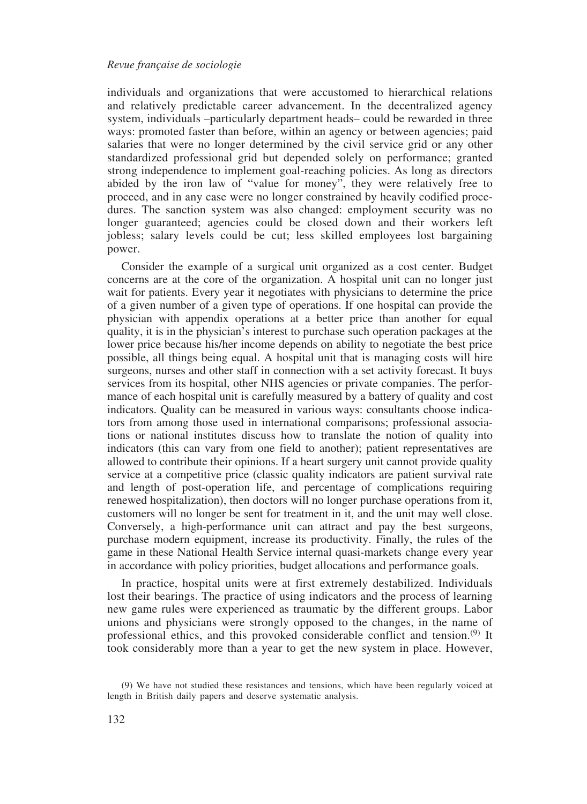individuals and organizations that were accustomed to hierarchical relations and relatively predictable career advancement. In the decentralized agency system, individuals *–*particularly department heads*–* could be rewarded in three ways: promoted faster than before, within an agency or between agencies; paid salaries that were no longer determined by the civil service grid or any other standardized professional grid but depended solely on performance; granted strong independence to implement goal-reaching policies. As long as directors abided by the iron law of "value for money", they were relatively free to proceed, and in any case were no longer constrained by heavily codified procedures. The sanction system was also changed: employment security was no longer guaranteed; agencies could be closed down and their workers left jobless; salary levels could be cut; less skilled employees lost bargaining power.

Consider the example of a surgical unit organized as a cost center. Budget concerns are at the core of the organization. A hospital unit can no longer just wait for patients. Every year it negotiates with physicians to determine the price of a given number of a given type of operations. If one hospital can provide the physician with appendix operations at a better price than another for equal quality, it is in the physician's interest to purchase such operation packages at the lower price because his/her income depends on ability to negotiate the best price possible, all things being equal. A hospital unit that is managing costs will hire surgeons, nurses and other staff in connection with a set activity forecast. It buys services from its hospital, other NHS agencies or private companies. The performance of each hospital unit is carefully measured by a battery of quality and cost indicators. Quality can be measured in various ways: consultants choose indicators from among those used in international comparisons; professional associations or national institutes discuss how to translate the notion of quality into indicators (this can vary from one field to another); patient representatives are allowed to contribute their opinions. If a heart surgery unit cannot provide quality service at a competitive price (classic quality indicators are patient survival rate and length of post-operation life, and percentage of complications requiring renewed hospitalization), then doctors will no longer purchase operations from it, customers will no longer be sent for treatment in it, and the unit may well close. Conversely, a high-performance unit can attract and pay the best surgeons, purchase modern equipment, increase its productivity. Finally, the rules of the game in these National Health Service internal quasi-markets change every year in accordance with policy priorities, budget allocations and performance goals.

In practice, hospital units were at first extremely destabilized. Individuals lost their bearings. The practice of using indicators and the process of learning new game rules were experienced as traumatic by the different groups. Labor unions and physicians were strongly opposed to the changes, in the name of professional ethics, and this provoked considerable conflict and tension.(9) It took considerably more than a year to get the new system in place. However,

<sup>(9)</sup> We have not studied these resistances and tensions, which have been regularly voiced at length in British daily papers and deserve systematic analysis.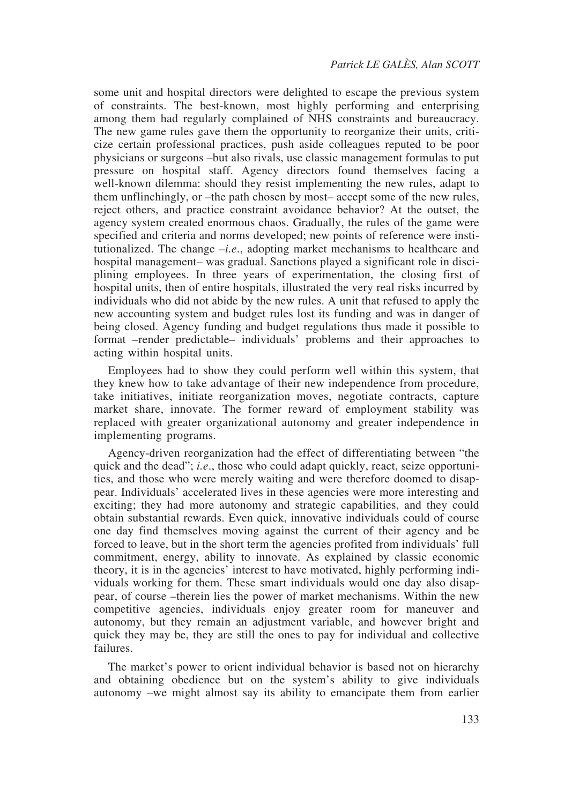some unit and hospital directors were delighted to escape the previous system of constraints. The best-known, most highly performing and enterprising among them had regularly complained of NHS constraints and bureaucracy. The new game rules gave them the opportunity to reorganize their units, criticize certain professional practices, push aside colleagues reputed to be poor physicians or surgeons *–*but also rivals, use classic management formulas to put pressure on hospital staff. Agency directors found themselves facing a well-known dilemma: should they resist implementing the new rules, adapt to them unflinchingly, or *–*the path chosen by most*–* accept some of the new rules, reject others, and practice constraint avoidance behavior? At the outset, the agency system created enormous chaos. Gradually, the rules of the game were specified and criteria and norms developed; new points of reference were institutionalized. The change *–i.e*., adopting market mechanisms to healthcare and hospital management*–* was gradual. Sanctions played a significant role in disciplining employees. In three years of experimentation, the closing first of hospital units, then of entire hospitals, illustrated the very real risks incurred by individuals who did not abide by the new rules. A unit that refused to apply the new accounting system and budget rules lost its funding and was in danger of being closed. Agency funding and budget regulations thus made it possible to format *–*render predictable*–* individuals' problems and their approaches to acting within hospital units.

Employees had to show they could perform well within this system, that they knew how to take advantage of their new independence from procedure, take initiatives, initiate reorganization moves, negotiate contracts, capture market share, innovate. The former reward of employment stability was replaced with greater organizational autonomy and greater independence in implementing programs.

Agency-driven reorganization had the effect of differentiating between "the quick and the dead"; *i.e.*, those who could adapt quickly, react, seize opportunities, and those who were merely waiting and were therefore doomed to disappear. Individuals' accelerated lives in these agencies were more interesting and exciting; they had more autonomy and strategic capabilities, and they could obtain substantial rewards. Even quick, innovative individuals could of course one day find themselves moving against the current of their agency and be forced to leave, but in the short term the agencies profited from individuals' full commitment, energy, ability to innovate. As explained by classic economic theory, it is in the agencies' interest to have motivated, highly performing individuals working for them. These smart individuals would one day also disappear, of course *–*therein lies the power of market mechanisms. Within the new competitive agencies, individuals enjoy greater room for maneuver and autonomy, but they remain an adjustment variable, and however bright and quick they may be, they are still the ones to pay for individual and collective failures.

The market's power to orient individual behavior is based not on hierarchy and obtaining obedience but on the system's ability to give individuals autonomy *–*we might almost say its ability to emancipate them from earlier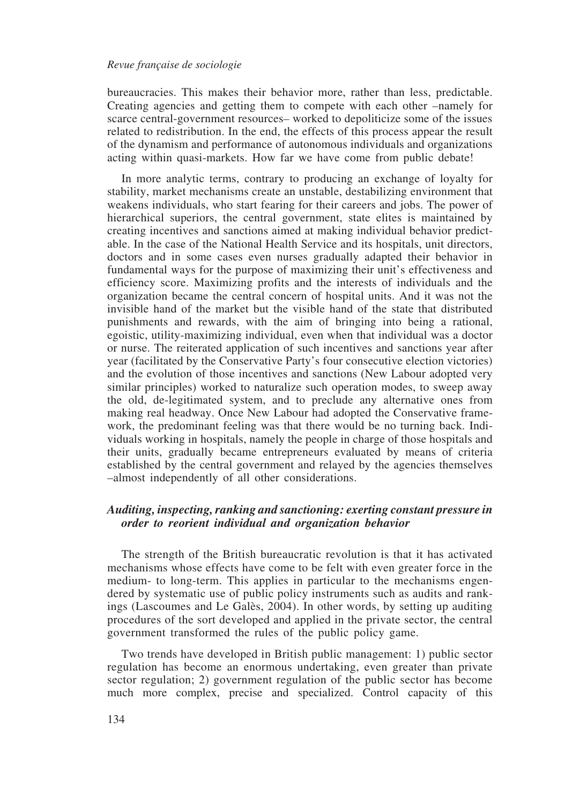bureaucracies. This makes their behavior more, rather than less, predictable. Creating agencies and getting them to compete with each other *–*namely for scarce central-government resources*–* worked to depoliticize some of the issues related to redistribution. In the end, the effects of this process appear the result of the dynamism and performance of autonomous individuals and organizations acting within quasi-markets. How far we have come from public debate!

In more analytic terms, contrary to producing an exchange of loyalty for stability, market mechanisms create an unstable, destabilizing environment that weakens individuals, who start fearing for their careers and jobs. The power of hierarchical superiors, the central government, state elites is maintained by creating incentives and sanctions aimed at making individual behavior predictable. In the case of the National Health Service and its hospitals, unit directors, doctors and in some cases even nurses gradually adapted their behavior in fundamental ways for the purpose of maximizing their unit's effectiveness and efficiency score. Maximizing profits and the interests of individuals and the organization became the central concern of hospital units. And it was not the invisible hand of the market but the visible hand of the state that distributed punishments and rewards, with the aim of bringing into being a rational, egoistic, utility-maximizing individual, even when that individual was a doctor or nurse. The reiterated application of such incentives and sanctions year after year (facilitated by the Conservative Party's four consecutive election victories) and the evolution of those incentives and sanctions (New Labour adopted very similar principles) worked to naturalize such operation modes, to sweep away the old, de-legitimated system, and to preclude any alternative ones from making real headway. Once New Labour had adopted the Conservative framework, the predominant feeling was that there would be no turning back. Individuals working in hospitals, namely the people in charge of those hospitals and their units, gradually became entrepreneurs evaluated by means of criteria established by the central government and relayed by the agencies themselves *–*almost independently of all other considerations.

# *Auditing, inspecting, ranking and sanctioning: exerting constant pressure in order to reorient individual and organization behavior*

The strength of the British bureaucratic revolution is that it has activated mechanisms whose effects have come to be felt with even greater force in the medium- to long-term. This applies in particular to the mechanisms engendered by systematic use of public policy instruments such as audits and rankings (Lascoumes and Le Galès, 2004). In other words, by setting up auditing procedures of the sort developed and applied in the private sector, the central government transformed the rules of the public policy game.

Two trends have developed in British public management: 1) public sector regulation has become an enormous undertaking, even greater than private sector regulation; 2) government regulation of the public sector has become much more complex, precise and specialized. Control capacity of this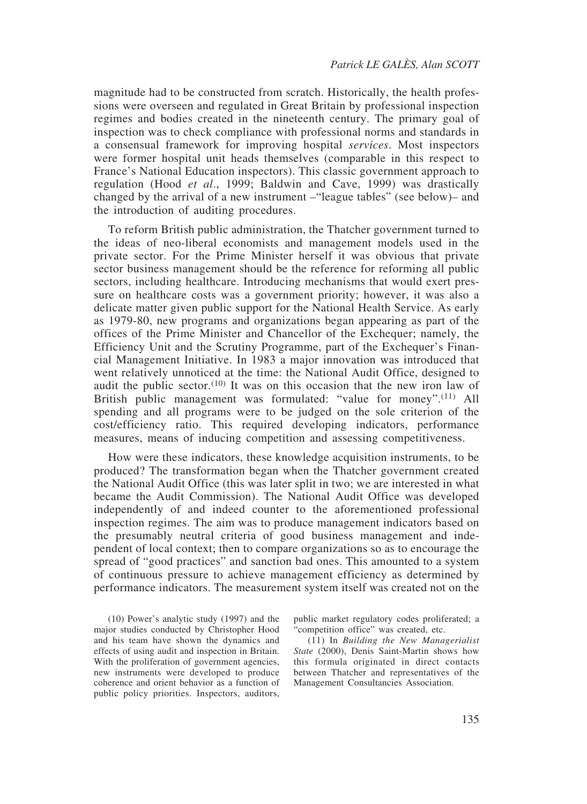magnitude had to be constructed from scratch. Historically, the health professions were overseen and regulated in Great Britain by professional inspection regimes and bodies created in the nineteenth century. The primary goal of inspection was to check compliance with professional norms and standards in a consensual framework for improving hospital *services*. Most inspectors were former hospital unit heads themselves (comparable in this respect to France's National Education inspectors). This classic government approach to regulation (Hood *et al*., 1999; Baldwin and Cave, 1999) was drastically changed by the arrival of a new instrument *–*"league tables" (see below)*–* and the introduction of auditing procedures.

To reform British public administration, the Thatcher government turned to the ideas of neo-liberal economists and management models used in the private sector. For the Prime Minister herself it was obvious that private sector business management should be the reference for reforming all public sectors, including healthcare. Introducing mechanisms that would exert pressure on healthcare costs was a government priority; however, it was also a delicate matter given public support for the National Health Service. As early as 1979-80, new programs and organizations began appearing as part of the offices of the Prime Minister and Chancellor of the Exchequer; namely, the Efficiency Unit and the Scrutiny Programme, part of the Exchequer's Financial Management Initiative. In 1983 a major innovation was introduced that went relatively unnoticed at the time: the National Audit Office, designed to audit the public sector.<sup>(10)</sup> It was on this occasion that the new iron law of British public management was formulated: "value for money".<sup>(11)</sup> All spending and all programs were to be judged on the sole criterion of the cost/efficiency ratio. This required developing indicators, performance measures, means of inducing competition and assessing competitiveness.

How were these indicators, these knowledge acquisition instruments, to be produced? The transformation began when the Thatcher government created the National Audit Office (this was later split in two; we are interested in what became the Audit Commission). The National Audit Office was developed independently of and indeed counter to the aforementioned professional inspection regimes. The aim was to produce management indicators based on the presumably neutral criteria of good business management and independent of local context; then to compare organizations so as to encourage the spread of "good practices" and sanction bad ones. This amounted to a system of continuous pressure to achieve management efficiency as determined by performance indicators. The measurement system itself was created not on the

(10) Power's analytic study (1997) and the major studies conducted by Christopher Hood and his team have shown the dynamics and effects of using audit and inspection in Britain. With the proliferation of government agencies, new instruments were developed to produce coherence and orient behavior as a function of public policy priorities. Inspectors, auditors, public market regulatory codes proliferated; a "competition office" was created, etc.

(11) In *Building the New Managerialist State* (2000), Denis Saint-Martin shows how this formula originated in direct contacts between Thatcher and representatives of the Management Consultancies Association.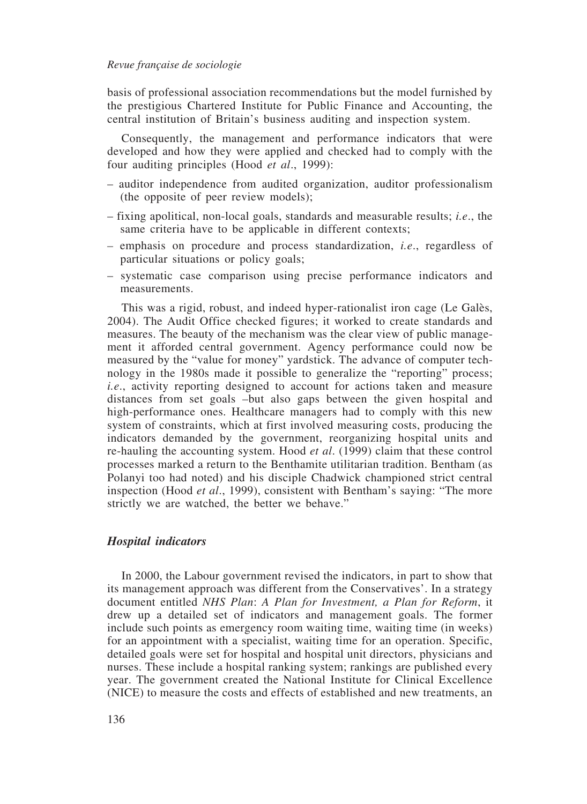basis of professional association recommendations but the model furnished by the prestigious Chartered Institute for Public Finance and Accounting, the central institution of Britain's business auditing and inspection system.

Consequently, the management and performance indicators that were developed and how they were applied and checked had to comply with the four auditing principles (Hood *et al*., 1999):

- auditor independence from audited organization, auditor professionalism (the opposite of peer review models);
- fixing apolitical, non-local goals, standards and measurable results; *i.e*., the same criteria have to be applicable in different contexts;
- *–* emphasis on procedure and process standardization, *i.e*., regardless of particular situations or policy goals;
- systematic case comparison using precise performance indicators and measurements.

This was a rigid, robust, and indeed hyper-rationalist iron cage (Le Galès, 2004). The Audit Office checked figures; it worked to create standards and measures. The beauty of the mechanism was the clear view of public management it afforded central government. Agency performance could now be measured by the "value for money" yardstick. The advance of computer technology in the 1980s made it possible to generalize the "reporting" process; *i.e*., activity reporting designed to account for actions taken and measure distances from set goals *–*but also gaps between the given hospital and high-performance ones. Healthcare managers had to comply with this new system of constraints, which at first involved measuring costs, producing the indicators demanded by the government, reorganizing hospital units and re-hauling the accounting system. Hood *et al*. (1999) claim that these control processes marked a return to the Benthamite utilitarian tradition. Bentham (as Polanyi too had noted) and his disciple Chadwick championed strict central inspection (Hood *et al*., 1999), consistent with Bentham's saying: "The more strictly we are watched, the better we behave."

### *Hospital indicators*

In 2000, the Labour government revised the indicators, in part to show that its management approach was different from the Conservatives'. In a strategy document entitled *NHS Plan*: *A Plan for Investment, a Plan for Reform*, it drew up a detailed set of indicators and management goals. The former include such points as emergency room waiting time, waiting time (in weeks) for an appointment with a specialist, waiting time for an operation. Specific, detailed goals were set for hospital and hospital unit directors, physicians and nurses. These include a hospital ranking system; rankings are published every year. The government created the National Institute for Clinical Excellence (NICE) to measure the costs and effects of established and new treatments, an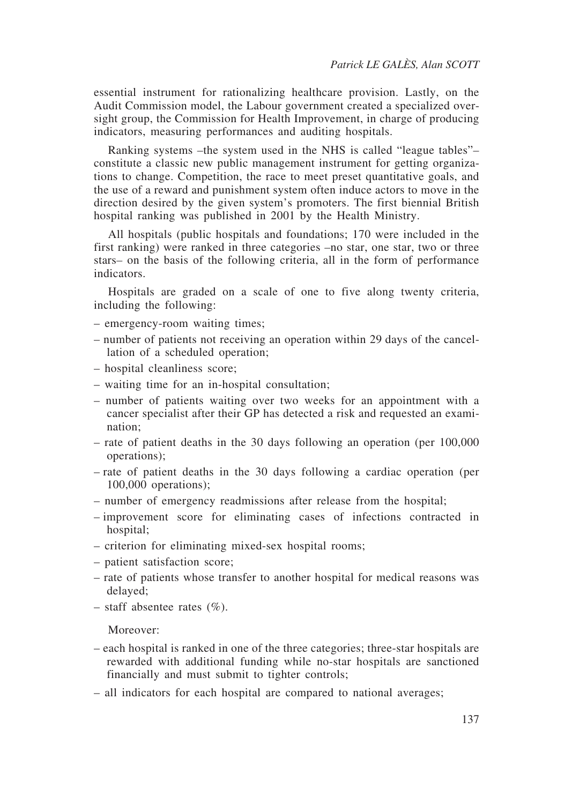essential instrument for rationalizing healthcare provision. Lastly, on the Audit Commission model, the Labour government created a specialized oversight group, the Commission for Health Improvement, in charge of producing indicators, measuring performances and auditing hospitals.

Ranking systems *–*the system used in the NHS is called "league tables"*–* constitute a classic new public management instrument for getting organizations to change. Competition, the race to meet preset quantitative goals, and the use of a reward and punishment system often induce actors to move in the direction desired by the given system's promoters. The first biennial British hospital ranking was published in 2001 by the Health Ministry.

All hospitals (public hospitals and foundations; 170 were included in the first ranking) were ranked in three categories *–*no star, one star, two or three stars*–* on the basis of the following criteria, all in the form of performance indicators.

Hospitals are graded on a scale of one to five along twenty criteria, including the following:

- emergency-room waiting times;
- number of patients not receiving an operation within 29 days of the cancellation of a scheduled operation;
- hospital cleanliness score;
- waiting time for an in-hospital consultation;
- number of patients waiting over two weeks for an appointment with a cancer specialist after their GP has detected a risk and requested an examination;
- rate of patient deaths in the 30 days following an operation (per 100,000 operations);
- rate of patient deaths in the 30 days following a cardiac operation (per 100,000 operations);
- number of emergency readmissions after release from the hospital;
- improvement score for eliminating cases of infections contracted in hospital;
- criterion for eliminating mixed-sex hospital rooms;
- patient satisfaction score;
- rate of patients whose transfer to another hospital for medical reasons was delayed;
- staff absentee rates  $(\%).$

Moreover:

- each hospital is ranked in one of the three categories; three-star hospitals are rewarded with additional funding while no-star hospitals are sanctioned financially and must submit to tighter controls;
- all indicators for each hospital are compared to national averages;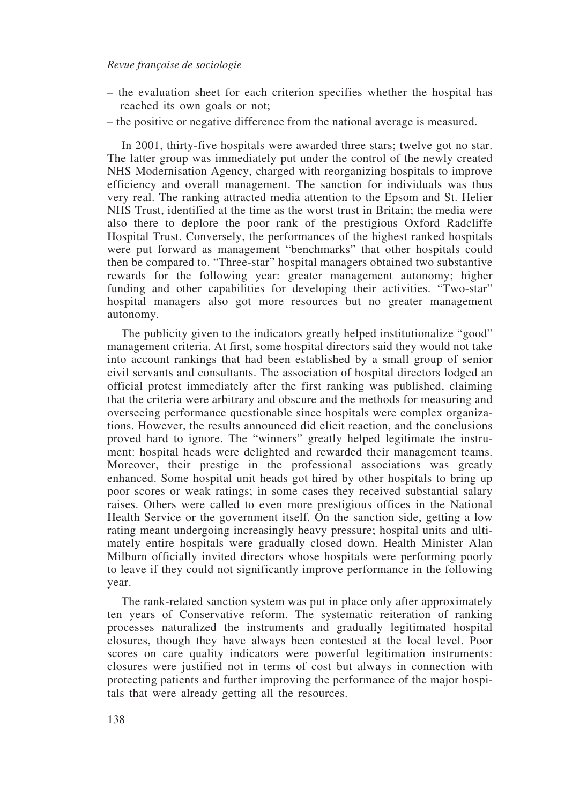- the evaluation sheet for each criterion specifies whether the hospital has reached its own goals or not;
- the positive or negative difference from the national average is measured.

In 2001, thirty-five hospitals were awarded three stars; twelve got no star. The latter group was immediately put under the control of the newly created NHS Modernisation Agency, charged with reorganizing hospitals to improve efficiency and overall management. The sanction for individuals was thus very real. The ranking attracted media attention to the Epsom and St. Helier NHS Trust, identified at the time as the worst trust in Britain; the media were also there to deplore the poor rank of the prestigious Oxford Radcliffe Hospital Trust. Conversely, the performances of the highest ranked hospitals were put forward as management "benchmarks" that other hospitals could then be compared to. "Three-star" hospital managers obtained two substantive rewards for the following year: greater management autonomy; higher funding and other capabilities for developing their activities. "Two-star" hospital managers also got more resources but no greater management autonomy.

The publicity given to the indicators greatly helped institutionalize "good" management criteria. At first, some hospital directors said they would not take into account rankings that had been established by a small group of senior civil servants and consultants. The association of hospital directors lodged an official protest immediately after the first ranking was published, claiming that the criteria were arbitrary and obscure and the methods for measuring and overseeing performance questionable since hospitals were complex organizations. However, the results announced did elicit reaction, and the conclusions proved hard to ignore. The "winners" greatly helped legitimate the instrument: hospital heads were delighted and rewarded their management teams. Moreover, their prestige in the professional associations was greatly enhanced. Some hospital unit heads got hired by other hospitals to bring up poor scores or weak ratings; in some cases they received substantial salary raises. Others were called to even more prestigious offices in the National Health Service or the government itself. On the sanction side, getting a low rating meant undergoing increasingly heavy pressure; hospital units and ultimately entire hospitals were gradually closed down. Health Minister Alan Milburn officially invited directors whose hospitals were performing poorly to leave if they could not significantly improve performance in the following year.

The rank-related sanction system was put in place only after approximately ten years of Conservative reform. The systematic reiteration of ranking processes naturalized the instruments and gradually legitimated hospital closures, though they have always been contested at the local level. Poor scores on care quality indicators were powerful legitimation instruments: closures were justified not in terms of cost but always in connection with protecting patients and further improving the performance of the major hospitals that were already getting all the resources.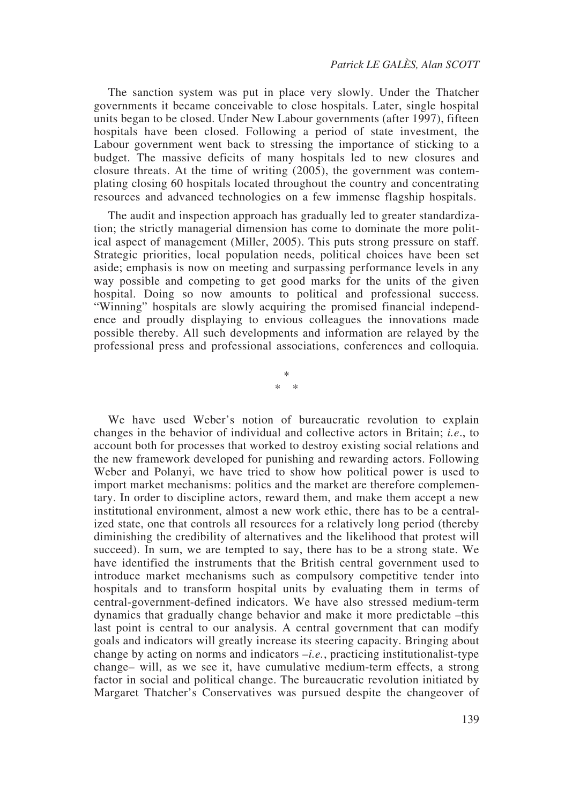The sanction system was put in place very slowly. Under the Thatcher governments it became conceivable to close hospitals. Later, single hospital units began to be closed. Under New Labour governments (after 1997), fifteen hospitals have been closed. Following a period of state investment, the Labour government went back to stressing the importance of sticking to a budget. The massive deficits of many hospitals led to new closures and closure threats. At the time of writing (2005), the government was contemplating closing 60 hospitals located throughout the country and concentrating resources and advanced technologies on a few immense flagship hospitals.

The audit and inspection approach has gradually led to greater standardization; the strictly managerial dimension has come to dominate the more political aspect of management (Miller, 2005). This puts strong pressure on staff. Strategic priorities, local population needs, political choices have been set aside; emphasis is now on meeting and surpassing performance levels in any way possible and competing to get good marks for the units of the given hospital. Doing so now amounts to political and professional success. "Winning" hospitals are slowly acquiring the promised financial independence and proudly displaying to envious colleagues the innovations made possible thereby. All such developments and information are relayed by the professional press and professional associations, conferences and colloquia.

> \* \* \*

We have used Weber's notion of bureaucratic revolution to explain changes in the behavior of individual and collective actors in Britain; *i.e*., to account both for processes that worked to destroy existing social relations and the new framework developed for punishing and rewarding actors. Following Weber and Polanyi, we have tried to show how political power is used to import market mechanisms: politics and the market are therefore complementary. In order to discipline actors, reward them, and make them accept a new institutional environment, almost a new work ethic, there has to be a centralized state, one that controls all resources for a relatively long period (thereby diminishing the credibility of alternatives and the likelihood that protest will succeed). In sum, we are tempted to say, there has to be a strong state. We have identified the instruments that the British central government used to introduce market mechanisms such as compulsory competitive tender into hospitals and to transform hospital units by evaluating them in terms of central-government-defined indicators. We have also stressed medium-term dynamics that gradually change behavior and make it more predictable *–*this last point is central to our analysis. A central government that can modify goals and indicators will greatly increase its steering capacity. Bringing about change by acting on norms and indicators *–i.e.*, practicing institutionalist-type change*–* will, as we see it, have cumulative medium-term effects, a strong factor in social and political change. The bureaucratic revolution initiated by Margaret Thatcher's Conservatives was pursued despite the changeover of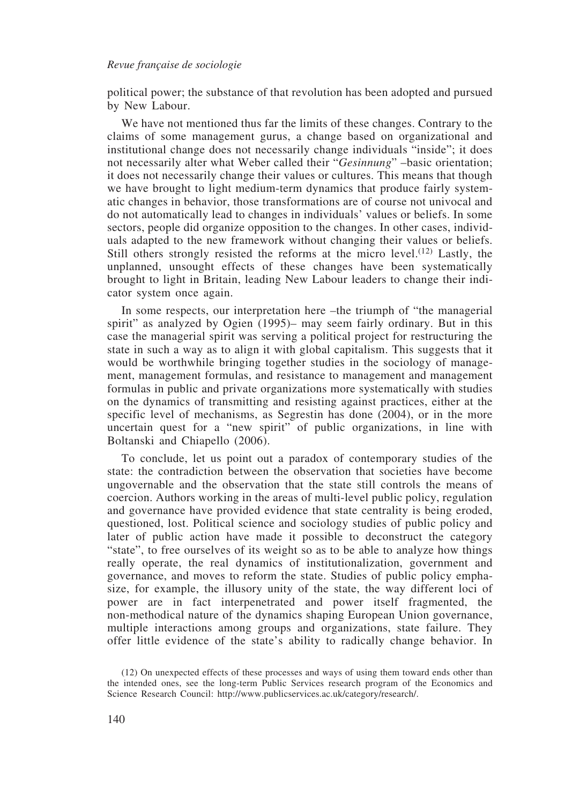political power; the substance of that revolution has been adopted and pursued by New Labour.

We have not mentioned thus far the limits of these changes. Contrary to the claims of some management gurus, a change based on organizational and institutional change does not necessarily change individuals "inside"; it does not necessarily alter what Weber called their "*Gesinnung*" –basic orientation; it does not necessarily change their values or cultures. This means that though we have brought to light medium-term dynamics that produce fairly systematic changes in behavior, those transformations are of course not univocal and do not automatically lead to changes in individuals' values or beliefs. In some sectors, people did organize opposition to the changes. In other cases, individuals adapted to the new framework without changing their values or beliefs. Still others strongly resisted the reforms at the micro level.<sup>(12)</sup> Lastly, the unplanned, unsought effects of these changes have been systematically brought to light in Britain, leading New Labour leaders to change their indicator system once again.

In some respects, our interpretation here *–*the triumph of "the managerial spirit" as analyzed by Ogien (1995)*–* may seem fairly ordinary. But in this case the managerial spirit was serving a political project for restructuring the state in such a way as to align it with global capitalism. This suggests that it would be worthwhile bringing together studies in the sociology of management, management formulas, and resistance to management and management formulas in public and private organizations more systematically with studies on the dynamics of transmitting and resisting against practices, either at the specific level of mechanisms, as Segrestin has done (2004), or in the more uncertain quest for a "new spirit" of public organizations, in line with Boltanski and Chiapello (2006).

To conclude, let us point out a paradox of contemporary studies of the state: the contradiction between the observation that societies have become ungovernable and the observation that the state still controls the means of coercion. Authors working in the areas of multi-level public policy, regulation and governance have provided evidence that state centrality is being eroded, questioned, lost. Political science and sociology studies of public policy and later of public action have made it possible to deconstruct the category "state", to free ourselves of its weight so as to be able to analyze how things really operate, the real dynamics of institutionalization, government and governance, and moves to reform the state. Studies of public policy emphasize, for example, the illusory unity of the state, the way different loci of power are in fact interpenetrated and power itself fragmented, the non-methodical nature of the dynamics shaping European Union governance, multiple interactions among groups and organizations, state failure. They offer little evidence of the state's ability to radically change behavior. In

<sup>(12)</sup> On unexpected effects of these processes and ways of using them toward ends other than the intended ones, see the long-term Public Services research program of the Economics and Science Research Council: http://www.publicservices.ac.uk/category/research/.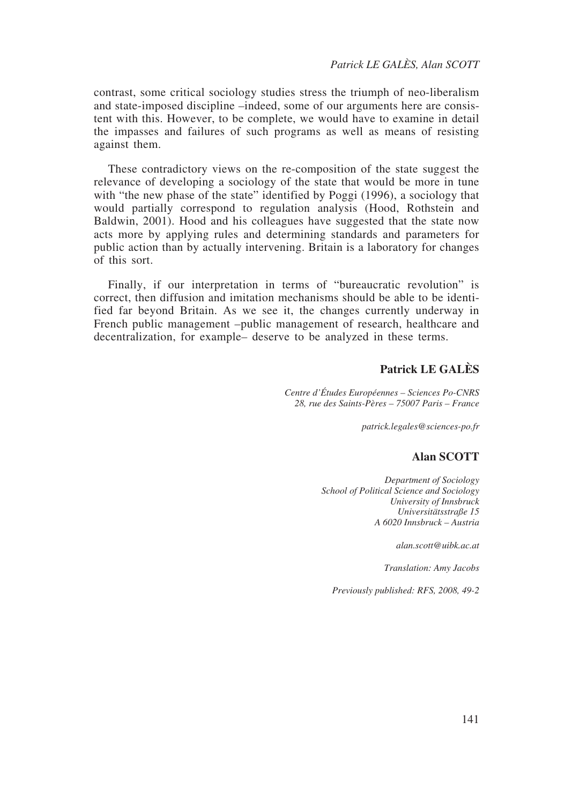contrast, some critical sociology studies stress the triumph of neo-liberalism and state-imposed discipline *–*indeed, some of our arguments here are consistent with this. However, to be complete, we would have to examine in detail the impasses and failures of such programs as well as means of resisting against them.

These contradictory views on the re-composition of the state suggest the relevance of developing a sociology of the state that would be more in tune with "the new phase of the state" identified by Poggi (1996), a sociology that would partially correspond to regulation analysis (Hood, Rothstein and Baldwin, 2001). Hood and his colleagues have suggested that the state now acts more by applying rules and determining standards and parameters for public action than by actually intervening. Britain is a laboratory for changes of this sort.

Finally, if our interpretation in terms of "bureaucratic revolution" is correct, then diffusion and imitation mechanisms should be able to be identified far beyond Britain. As we see it, the changes currently underway in French public management *–*public management of research, healthcare and decentralization, for example*–* deserve to be analyzed in these terms.

# **Patrick LE GALÈS**

*Centre d'Études Européennes – Sciences Po-CNRS 28, rue des Saints-Pères – 75007 Paris – France*

*patrick.legales@sciences-po.fr*

### **Alan SCOTT**

*Department of Sociology School of Political Science and Sociology University of Innsbruck Universitätsstraße 15 A 6020 Innsbruck – Austria*

*alan.scott@uibk.ac.at*

*Translation: Amy Jacobs*

*Previously published: RFS, 2008, 49-2*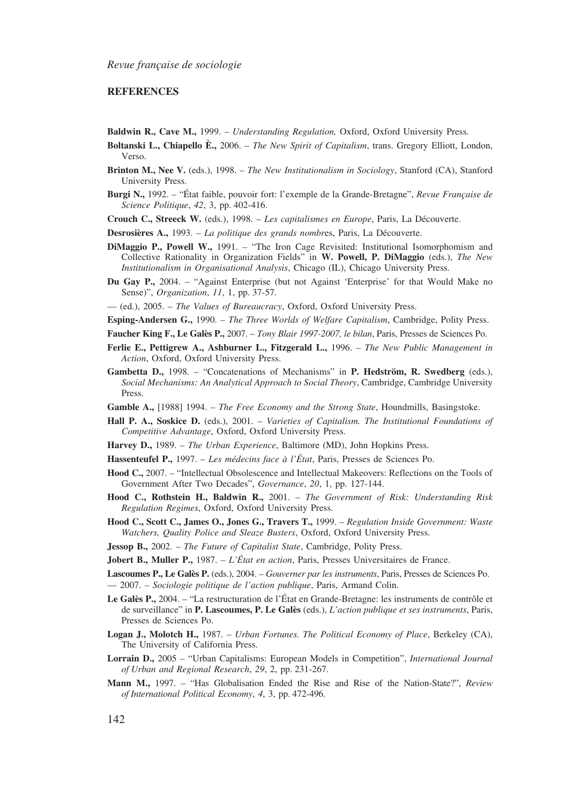### **REFERENCES**

- **Baldwin R., Cave M.,** 1999. *Understanding Regulation,* Oxford, Oxford University Press.
- **Boltanski L., Chiapello È.,** 2006. *The New Spirit of Capitalism*, trans. Gregory Elliott, London, Verso.
- **Brinton M., Nee V.** (eds.), 1998. *The New Institutionalism in Sociology*, Stanford (CA), Stanford University Press.
- **Burgi N.,** 1992. "État faible, pouvoir fort: l'exemple de la Grande-Bretagne", *Revue Française de Science Politique*, *42*, 3, pp. 402-416.

**Crouch C., Streeck W.** (eds.), 1998. – *Les capitalismes en Europe*, Paris, La Découverte.

- **Desrosières A.,** 1993. *La politique des grands nombr*es, Paris, La Découverte.
- **DiMaggio P., Powell W.,** 1991. "The Iron Cage Revisited: Institutional Isomorphomism and Collective Rationality in Organization Fields" in **W. Powell, P. DiMaggio** (eds.), *The New Institutionalism in Organisational Analysis*, Chicago (IL), Chicago University Press.
- **Du Gay P.,** 2004. "Against Enterprise (but not Against 'Enterprise' for that Would Make no Sense)", *Organization*, *11*, 1, pp. 37-57.

— (ed.), 2005. – *The Values of Bureaucracy*, Oxford, Oxford University Press.

- **Esping-Andersen G.,** 1990. *The Three Worlds of Welfare Capitalism*, Cambridge, Polity Press.
- **Faucher King F., Le Galès P.,** 2007. *Tony Blair 1997-2007, le bilan*, Paris, Presses de Sciences Po.
- **Ferlie E., Pettigrew A., Ashburner L., Fitzgerald L.,** 1996. *The New Public Management in Action*, Oxford, Oxford University Press.
- **Gambetta D.,** 1998. "Concatenations of Mechanisms" in **P. Hedström, R. Swedberg** (eds.), *Social Mechanisms: An Analytical Approach to Social Theory*, Cambridge, Cambridge University Press.
- **Gamble A.,** [1988] 1994. *The Free Economy and the Strong State*, Houndmills, Basingstoke.
- **Hall P. A., Soskice D.** (eds.), 2001. *Varieties of Capitalism. The Institutional Foundations of Competitive Advantage*, Oxford, Oxford University Press.
- **Harvey D.,** 1989. *The Urban Experience*, Baltimore (MD), John Hopkins Press.
- **Hassenteufel P.,** 1997. *Les médecins face à l'État*, Paris, Presses de Sciences Po.
- **Hood C.,** 2007. "Intellectual Obsolescence and Intellectual Makeovers: Reflections on the Tools of Government After Two Decades", *Governance*, *20*, 1, pp. 127-144.
- **Hood C., Rothstein H., Baldwin R.,** 2001. *The Government of Risk: Understanding Risk Regulation Regimes*, Oxford, Oxford University Press.
- **Hood C., Scott C., James O., Jones G., Travers T.,** 1999. *Regulation Inside Government: Waste Watchers, Quality Police and Sleaze Busters*, Oxford, Oxford University Press.
- **Jessop B.,** 2002. *The Future of Capitalist State*, Cambridge, Polity Press.
- **Jobert B., Muller P.,** 1987. *L'État en action*, Paris, Presses Universitaires de France.
- **Lascoumes P., Le Galès P.** (eds.), 2004. *Gouverner par les instruments*, Paris, Presses de Sciences Po. — 2007. – *Sociologie politique de l'action publique*, Paris, Armand Colin.
- **Le Galès P.,** 2004. "La restructuration de l'État en Grande-Bretagne: les instruments de contrôle et de surveillance" in **P. Lascoumes, P. Le Galès** (eds.), *L'action publique et ses instruments*, Paris, Presses de Sciences Po.
- **Logan J., Molotch H.,** 1987. *Urban Fortunes. The Political Economy of Place*, Berkeley (CA), The University of California Press.
- **Lorrain D.,** 2005 "Urban Capitalisms: European Models in Competition", *International Journal of Urban and Regional Research*, *29*, 2, pp. 231-267.
- **Mann M.,** 1997. "Has Globalisation Ended the Rise and Rise of the Nation-State?", *Review of International Political Economy*, *4*, 3, pp. 472-496.